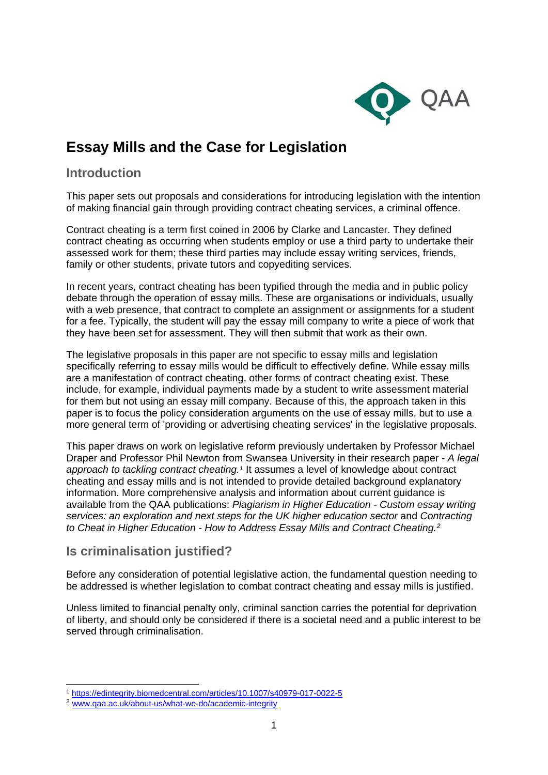

# **Essay Mills and the Case for Legislation**

# **Introduction**

This paper sets out proposals and considerations for introducing legislation with the intention of making financial gain through providing contract cheating services, a criminal offence.

Contract cheating is a term first coined in 2006 by Clarke and Lancaster. They defined contract cheating as occurring when students employ or use a third party to undertake their assessed work for them; these third parties may include essay writing services, friends, family or other students, private tutors and copyediting services.

In recent years, contract cheating has been typified through the media and in public policy debate through the operation of essay mills. These are organisations or individuals, usually with a web presence, that contract to complete an assignment or assignments for a student for a fee. Typically, the student will pay the essay mill company to write a piece of work that they have been set for assessment. They will then submit that work as their own.

The legislative proposals in this paper are not specific to essay mills and legislation specifically referring to essay mills would be difficult to effectively define. While essay mills are a manifestation of contract cheating, other forms of contract cheating exist. These include, for example, individual payments made by a student to write assessment material for them but not using an essay mill company. Because of this, the approach taken in this paper is to focus the policy consideration arguments on the use of essay mills, but to use a more general term of 'providing or advertising cheating services' in the legislative proposals.

This paper draws on work on legislative reform previously undertaken by Professor Michael Draper and Professor Phil Newton from Swansea University in their research paper - *A legal approach to tackling contract cheating.*[1](#page-0-0) It assumes a level of knowledge about contract cheating and essay mills and is not intended to provide detailed background explanatory information. More comprehensive analysis and information about current guidance is available from the QAA publications: *Plagiarism in Higher Education - Custom essay writing services: an exploration and next steps for the UK higher education sector* and *Contracting to Cheat in Higher Education - How to Address Essay Mills and Contract Cheating.[2](#page-0-1)*

## **Is criminalisation justified?**

Before any consideration of potential legislative action, the fundamental question needing to be addressed is whether legislation to combat contract cheating and essay mills is justified.

Unless limited to financial penalty only, criminal sanction carries the potential for deprivation of liberty, and should only be considered if there is a societal need and a public interest to be served through criminalisation.

<span id="page-0-0"></span><sup>1</sup> <https://edintegrity.biomedcentral.com/articles/10.1007/s40979-017-0022-5>2 [www.qaa.ac.uk/about-us/what-we-do/academic-integrity](https://www.qaa.ac.uk/about-us/what-we-do/academic-integrity)

<span id="page-0-1"></span>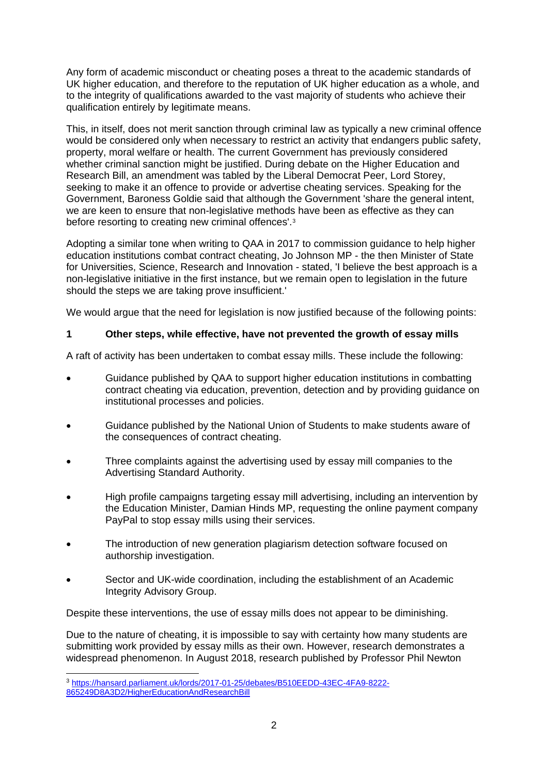Any form of academic misconduct or cheating poses a threat to the academic standards of UK higher education, and therefore to the reputation of UK higher education as a whole, and to the integrity of qualifications awarded to the vast majority of students who achieve their qualification entirely by legitimate means.

This, in itself, does not merit sanction through criminal law as typically a new criminal offence would be considered only when necessary to restrict an activity that endangers public safety, property, moral welfare or health. The current Government has previously considered whether criminal sanction might be justified. During debate on the Higher Education and Research Bill, an amendment was tabled by the Liberal Democrat Peer, Lord Storey, seeking to make it an offence to provide or advertise cheating services. Speaking for the Government, Baroness Goldie said that although the Government 'share the general intent, we are keen to ensure that non-legislative methods have been as effective as they can before resorting to creating new criminal offences'.[3](#page-1-0)

Adopting a similar tone when writing to QAA in 2017 to commission guidance to help higher education institutions combat contract cheating, Jo Johnson MP - the then Minister of State for Universities, Science, Research and Innovation - stated, 'I believe the best approach is a non-legislative initiative in the first instance, but we remain open to legislation in the future should the steps we are taking prove insufficient.'

We would argue that the need for legislation is now justified because of the following points:

### **1 Other steps, while effective, have not prevented the growth of essay mills**

A raft of activity has been undertaken to combat essay mills. These include the following:

- Guidance published by QAA to support higher education institutions in combatting contract cheating via education, prevention, detection and by providing guidance on institutional processes and policies.
- Guidance published by the National Union of Students to make students aware of the consequences of contract cheating.
- Three complaints against the advertising used by essay mill companies to the Advertising Standard Authority.
- High profile campaigns targeting essay mill advertising, including an intervention by the Education Minister, Damian Hinds MP, requesting the online payment company PayPal to stop essay mills using their services.
- The introduction of new generation plagiarism detection software focused on authorship investigation.
- Sector and UK-wide coordination, including the establishment of an Academic Integrity Advisory Group.

Despite these interventions, the use of essay mills does not appear to be diminishing.

Due to the nature of cheating, it is impossible to say with certainty how many students are submitting work provided by essay mills as their own. However, research demonstrates a widespread phenomenon. In August 2018, research published by Professor Phil Newton

<span id="page-1-0"></span><sup>3</sup> [https://hansard.parliament.uk/lords/2017-01-25/debates/B510EEDD-43EC-4FA9-8222-](https://hansard.parliament.uk/lords/2017-01-25/debates/B510EEDD-43EC-4FA9-8222-865249D8A3D2/HigherEducationAndResearchBill) [865249D8A3D2/HigherEducationAndResearchBill](https://hansard.parliament.uk/lords/2017-01-25/debates/B510EEDD-43EC-4FA9-8222-865249D8A3D2/HigherEducationAndResearchBill)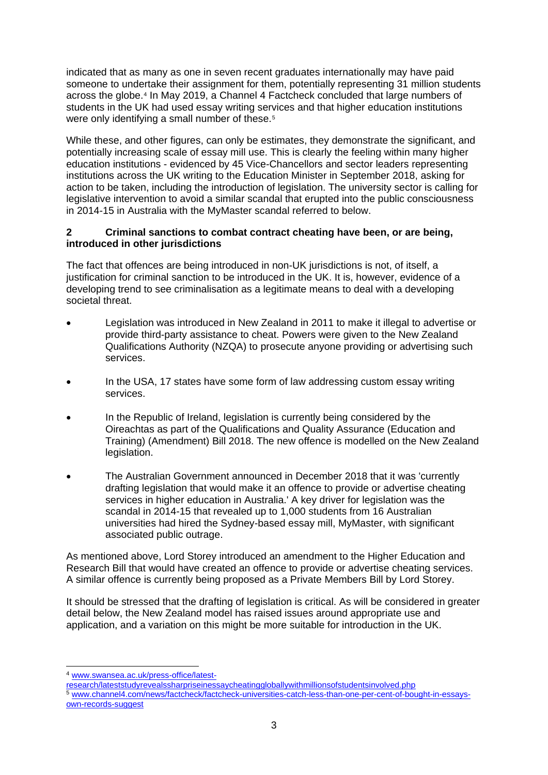indicated that as many as one in seven recent graduates internationally may have paid someone to undertake their assignment for them, potentially representing 31 million students across the globe.[4](#page-2-0) In May 2019, a Channel 4 Factcheck concluded that large numbers of students in the UK had used essay writing services and that higher education institutions were only identifying a small number of these.<sup>[5](#page-2-1)</sup>

While these, and other figures, can only be estimates, they demonstrate the significant, and potentially increasing scale of essay mill use. This is clearly the feeling within many higher education institutions - evidenced by 45 Vice-Chancellors and sector leaders representing institutions across the UK writing to the Education Minister in September 2018, asking for action to be taken, including the introduction of legislation. The university sector is calling for legislative intervention to avoid a similar scandal that erupted into the public consciousness in 2014-15 in Australia with the MyMaster scandal referred to below.

#### **2 Criminal sanctions to combat contract cheating have been, or are being, introduced in other jurisdictions**

The fact that offences are being introduced in non-UK jurisdictions is not, of itself, a justification for criminal sanction to be introduced in the UK. It is, however, evidence of a developing trend to see criminalisation as a legitimate means to deal with a developing societal threat.

- Legislation was introduced in New Zealand in 2011 to make it illegal to advertise or provide third-party assistance to cheat. Powers were given to the New Zealand Qualifications Authority (NZQA) to prosecute anyone providing or advertising such services.
- In the USA, 17 states have some form of law addressing custom essay writing services.
- In the Republic of Ireland, legislation is currently being considered by the Oireachtas as part of the Qualifications and Quality Assurance (Education and Training) (Amendment) Bill 2018. The new offence is modelled on the New Zealand legislation.
- The Australian Government announced in December 2018 that it was 'currently drafting legislation that would make it an offence to provide or advertise cheating services in higher education in Australia.' A key driver for legislation was the scandal in 2014-15 that revealed up to 1,000 students from 16 Australian universities had hired the Sydney-based essay mill, MyMaster, with significant associated public outrage.

As mentioned above, Lord Storey introduced an amendment to the Higher Education and Research Bill that would have created an offence to provide or advertise cheating services. A similar offence is currently being proposed as a Private Members Bill by Lord Storey.

It should be stressed that the drafting of legislation is critical. As will be considered in greater detail below, the New Zealand model has raised issues around appropriate use and application, and a variation on this might be more suitable for introduction in the UK.

<span id="page-2-1"></span><span id="page-2-0"></span>[research/lateststudyrevealssharpriseinessaycheatinggloballywithmillionsofstudentsinvolved.php](https://www.swansea.ac.uk/press-office/latest-research/lateststudyrevealssharpriseinessaycheatinggloballywithmillionsofstudentsinvolved.php) <sup>5</sup> [www.channel4.com/news/factcheck/factcheck-universities-catch-less-than-one-per-cent-of-bought-in-essays](https://www.channel4.com/news/factcheck/factcheck-universities-catch-less-than-one-per-cent-of-bought-in-essays-own-records-suggest)[own-records-suggest](https://www.channel4.com/news/factcheck/factcheck-universities-catch-less-than-one-per-cent-of-bought-in-essays-own-records-suggest)

<sup>4</sup> [www.swansea.ac.uk/press-office/latest-](https://www.swansea.ac.uk/press-office/latest-research/lateststudyrevealssharpriseinessaycheatinggloballywithmillionsofstudentsinvolved.php)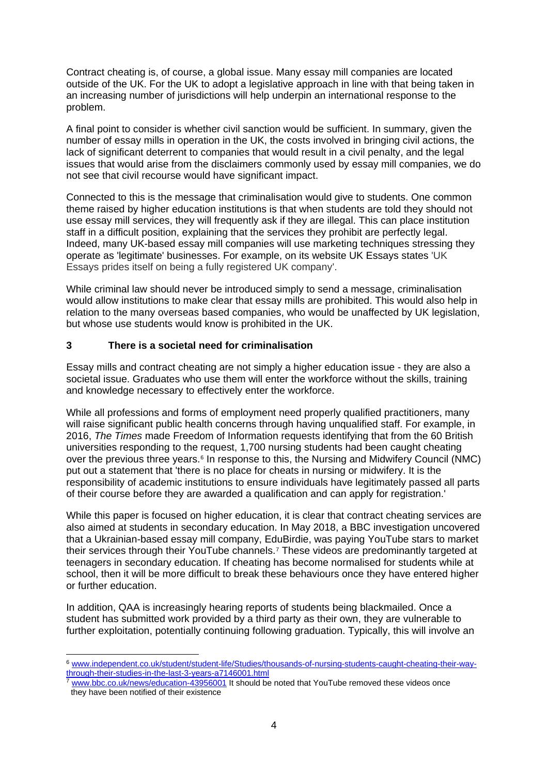Contract cheating is, of course, a global issue. Many essay mill companies are located outside of the UK. For the UK to adopt a legislative approach in line with that being taken in an increasing number of jurisdictions will help underpin an international response to the problem.

A final point to consider is whether civil sanction would be sufficient. In summary, given the number of essay mills in operation in the UK, the costs involved in bringing civil actions, the lack of significant deterrent to companies that would result in a civil penalty, and the legal issues that would arise from the disclaimers commonly used by essay mill companies, we do not see that civil recourse would have significant impact.

Connected to this is the message that criminalisation would give to students. One common theme raised by higher education institutions is that when students are told they should not use essay mill services, they will frequently ask if they are illegal. This can place institution staff in a difficult position, explaining that the services they prohibit are perfectly legal. Indeed, many UK-based essay mill companies will use marketing techniques stressing they operate as 'legitimate' businesses. For example, on its website UK Essays states 'UK Essays prides itself on being a fully registered UK company'.

While criminal law should never be introduced simply to send a message, criminalisation would allow institutions to make clear that essay mills are prohibited. This would also help in relation to the many overseas based companies, who would be unaffected by UK legislation, but whose use students would know is prohibited in the UK.

### **3 There is a societal need for criminalisation**

Essay mills and contract cheating are not simply a higher education issue - they are also a societal issue. Graduates who use them will enter the workforce without the skills, training and knowledge necessary to effectively enter the workforce.

While all professions and forms of employment need properly qualified practitioners, many will raise significant public health concerns through having unqualified staff. For example, in 2016, *The Times* made Freedom of Information requests identifying that from the 60 British universities responding to the request, 1,700 nursing students had been caught cheating over the previous three years.[6](#page-3-0) In response to this, the Nursing and Midwifery Council (NMC) put out a statement that 'there is no place for cheats in nursing or midwifery. It is the responsibility of academic institutions to ensure individuals have legitimately passed all parts of their course before they are awarded a qualification and can apply for registration.'

While this paper is focused on higher education, it is clear that contract cheating services are also aimed at students in secondary education. In May 2018, a BBC investigation uncovered that a Ukrainian-based essay mill company, EduBirdie, was paying YouTube stars to market their services through their YouTube channels.[7](#page-3-1) These videos are predominantly targeted at teenagers in secondary education. If cheating has become normalised for students while at school, then it will be more difficult to break these behaviours once they have entered higher or further education.

In addition, QAA is increasingly hearing reports of students being blackmailed. Once a student has submitted work provided by a third party as their own, they are vulnerable to further exploitation, potentially continuing following graduation. Typically, this will involve an

<span id="page-3-0"></span><sup>6</sup> [www.independent.co.uk/student/student-life/Studies/thousands-of-nursing-students-caught-cheating-their-way](https://www.independent.co.uk/student/student-life/Studies/thousands-of-nursing-students-caught-cheating-their-way-through-their-studies-in-the-last-3-years-a7146001.html)[through-their-studies-in-the-last-3-years-a7146001.html](https://www.independent.co.uk/student/student-life/Studies/thousands-of-nursing-students-caught-cheating-their-way-through-their-studies-in-the-last-3-years-a7146001.html)

<span id="page-3-1"></span>[www.bbc.co.uk/news/education-43956001](https://www.bbc.co.uk/news/education-43956001) It should be noted that YouTube removed these videos once they have been notified of their existence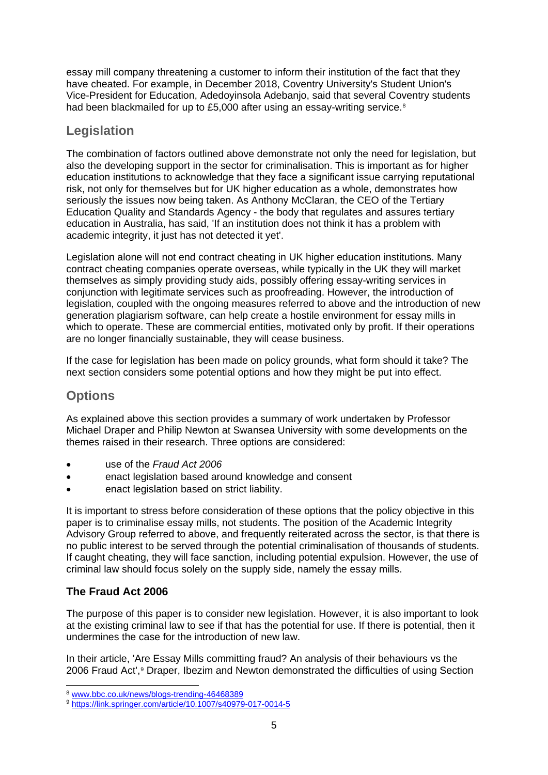essay mill company threatening a customer to inform their institution of the fact that they have cheated. For example, in December 2018, Coventry University's Student Union's Vice-President for Education, Adedoyinsola Adebanjo, said that several Coventry students had been blackmailed for up to £5,000 after using an essay-writing service.<sup>[8](#page-4-0)</sup>

# **Legislation**

The combination of factors outlined above demonstrate not only the need for legislation, but also the developing support in the sector for criminalisation. This is important as for higher education institutions to acknowledge that they face a significant issue carrying reputational risk, not only for themselves but for UK higher education as a whole, demonstrates how seriously the issues now being taken. As Anthony McClaran, the CEO of the Tertiary Education Quality and Standards Agency - the body that regulates and assures tertiary education in Australia, has said, 'If an institution does not think it has a problem with academic integrity, it just has not detected it yet'.

Legislation alone will not end contract cheating in UK higher education institutions. Many contract cheating companies operate overseas, while typically in the UK they will market themselves as simply providing study aids, possibly offering essay-writing services in conjunction with legitimate services such as proofreading. However, the introduction of legislation, coupled with the ongoing measures referred to above and the introduction of new generation plagiarism software, can help create a hostile environment for essay mills in which to operate. These are commercial entities, motivated only by profit. If their operations are no longer financially sustainable, they will cease business.

If the case for legislation has been made on policy grounds, what form should it take? The next section considers some potential options and how they might be put into effect.

# **Options**

As explained above this section provides a summary of work undertaken by Professor Michael Draper and Philip Newton at Swansea University with some developments on the themes raised in their research. Three options are considered:

- use of the *Fraud Act 2006*
- enact legislation based around knowledge and consent
- enact legislation based on strict liability.

It is important to stress before consideration of these options that the policy objective in this paper is to criminalise essay mills, not students. The position of the Academic Integrity Advisory Group referred to above, and frequently reiterated across the sector, is that there is no public interest to be served through the potential criminalisation of thousands of students. If caught cheating, they will face sanction, including potential expulsion. However, the use of criminal law should focus solely on the supply side, namely the essay mills.

## **The Fraud Act 2006**

The purpose of this paper is to consider new legislation. However, it is also important to look at the existing criminal law to see if that has the potential for use. If there is potential, then it undermines the case for the introduction of new law.

In their article, 'Are Essay Mills committing fraud? An analysis of their behaviours vs the 2006 Fraud Act',<sup>[9](#page-4-1)</sup> Draper, Ibezim and Newton demonstrated the difficulties of using Section

<span id="page-4-0"></span><sup>8</sup> [www.bbc.co.uk/news/blogs-trending-46468389](https://www.bbc.co.uk/news/blogs-trending-46468389)

<span id="page-4-1"></span><sup>9</sup> <https://link.springer.com/article/10.1007/s40979-017-0014-5>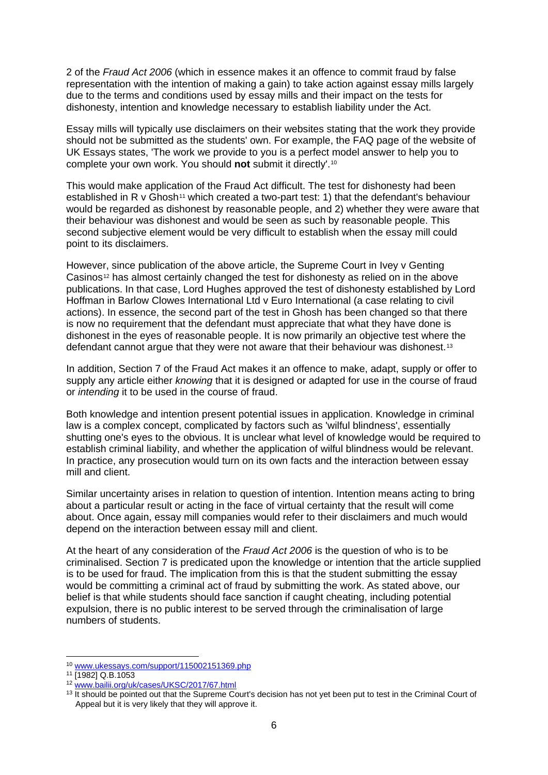2 of the *Fraud Act 2006* (which in essence makes it an offence to commit fraud by false representation with the intention of making a gain) to take action against essay mills largely due to the terms and conditions used by essay mills and their impact on the tests for dishonesty, intention and knowledge necessary to establish liability under the Act.

Essay mills will typically use disclaimers on their websites stating that the work they provide should not be submitted as the students' own. For example, the FAQ page of the website of UK Essays states, 'The work we provide to you is a perfect model answer to help you to complete your own work. You should **not** submit it directly'.[10](#page-5-0)

This would make application of the Fraud Act difficult. The test for dishonesty had been established in R v Ghosh<sup>[11](#page-5-1)</sup> which created a two-part test: 1) that the defendant's behaviour would be regarded as dishonest by reasonable people, and 2) whether they were aware that their behaviour was dishonest and would be seen as such by reasonable people. This second subjective element would be very difficult to establish when the essay mill could point to its disclaimers.

However, since publication of the above article, the Supreme Court in Ivey v Genting Casinos<sup>[12](#page-5-2)</sup> has almost certainly changed the test for dishonesty as relied on in the above publications. In that case, Lord Hughes approved the test of dishonesty established by Lord Hoffman in Barlow Clowes International Ltd v Euro International (a case relating to civil actions). In essence, the second part of the test in Ghosh has been changed so that there is now no requirement that the defendant must appreciate that what they have done is dishonest in the eyes of reasonable people. It is now primarily an objective test where the defendant cannot argue that they were not aware that their behaviour was dishonest.[13](#page-5-3)

In addition, Section 7 of the Fraud Act makes it an offence to make, adapt, supply or offer to supply any article either *knowing* that it is designed or adapted for use in the course of fraud or *intending* it to be used in the course of fraud.

Both knowledge and intention present potential issues in application. Knowledge in criminal law is a complex concept, complicated by factors such as 'wilful blindness', essentially shutting one's eyes to the obvious. It is unclear what level of knowledge would be required to establish criminal liability, and whether the application of wilful blindness would be relevant. In practice, any prosecution would turn on its own facts and the interaction between essay mill and client.

Similar uncertainty arises in relation to question of intention. Intention means acting to bring about a particular result or acting in the face of virtual certainty that the result will come about. Once again, essay mill companies would refer to their disclaimers and much would depend on the interaction between essay mill and client.

At the heart of any consideration of the *Fraud Act 2006* is the question of who is to be criminalised. Section 7 is predicated upon the knowledge or intention that the article supplied is to be used for fraud. The implication from this is that the student submitting the essay would be committing a criminal act of fraud by submitting the work. As stated above, our belief is that while students should face sanction if caught cheating, including potential expulsion, there is no public interest to be served through the criminalisation of large numbers of students.

<sup>10</sup> [www.ukessays.com/support/115002151369.php](https://www.ukessays.com/support/115002151369.php)

<span id="page-5-1"></span><span id="page-5-0"></span><sup>11</sup> [1982] Q.B.1053

<span id="page-5-2"></span><sup>12</sup> [www.bailii.org/uk/cases/UKSC/2017/67.html](http://www.bailii.org/uk/cases/UKSC/2017/67.html)

<span id="page-5-3"></span><sup>&</sup>lt;sup>13</sup> It should be pointed out that the Supreme Court's decision has not yet been put to test in the Criminal Court of Appeal but it is very likely that they will approve it.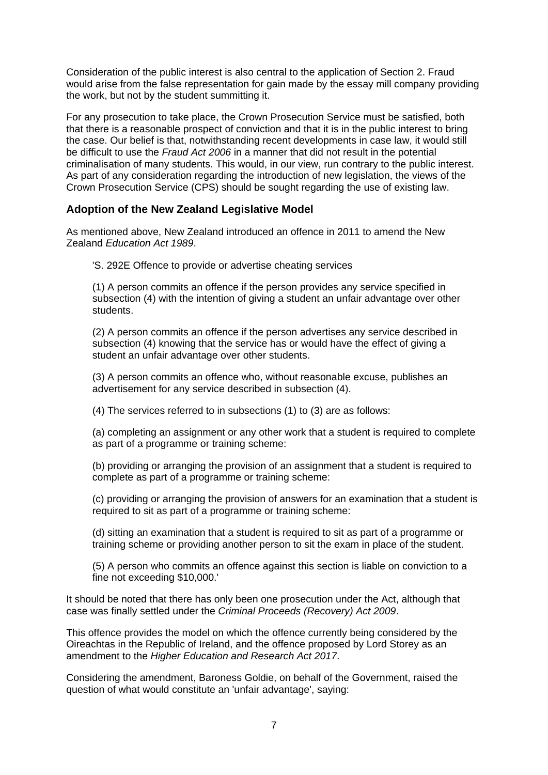Consideration of the public interest is also central to the application of Section 2. Fraud would arise from the false representation for gain made by the essay mill company providing the work, but not by the student summitting it.

For any prosecution to take place, the Crown Prosecution Service must be satisfied, both that there is a reasonable prospect of conviction and that it is in the public interest to bring the case. Our belief is that, notwithstanding recent developments in case law, it would still be difficult to use the *Fraud Act 2006* in a manner that did not result in the potential criminalisation of many students. This would, in our view, run contrary to the public interest. As part of any consideration regarding the introduction of new legislation, the views of the Crown Prosecution Service (CPS) should be sought regarding the use of existing law.

### **Adoption of the New Zealand Legislative Model**

As mentioned above, New Zealand introduced an offence in 2011 to amend the New Zealand *Education Act 1989*.

'S. 292E Offence to provide or advertise cheating services

(1) A person commits an offence if the person provides any service specified in subsection (4) with the intention of giving a student an unfair advantage over other students.

(2) A person commits an offence if the person advertises any service described in subsection (4) knowing that the service has or would have the effect of giving a student an unfair advantage over other students.

(3) A person commits an offence who, without reasonable excuse, publishes an advertisement for any service described in subsection (4).

(4) The services referred to in subsections (1) to (3) are as follows:

(a) completing an assignment or any other work that a student is required to complete as part of a programme or training scheme:

(b) providing or arranging the provision of an assignment that a student is required to complete as part of a programme or training scheme:

(c) providing or arranging the provision of answers for an examination that a student is required to sit as part of a programme or training scheme:

(d) sitting an examination that a student is required to sit as part of a programme or training scheme or providing another person to sit the exam in place of the student.

(5) A person who commits an offence against this section is liable on conviction to a fine not exceeding \$10,000.'

It should be noted that there has only been one prosecution under the Act, although that case was finally settled under the *Criminal Proceeds (Recovery) Act 2009*.

This offence provides the model on which the offence currently being considered by the Oireachtas in the Republic of Ireland, and the offence proposed by Lord Storey as an amendment to the *Higher Education and Research Act 2017*.

Considering the amendment, Baroness Goldie, on behalf of the Government, raised the question of what would constitute an 'unfair advantage', saying: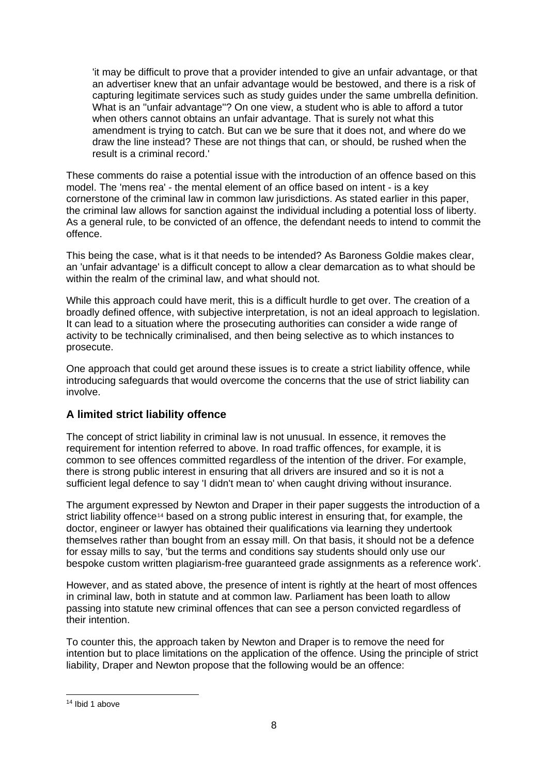'it may be difficult to prove that a provider intended to give an unfair advantage, or that an advertiser knew that an unfair advantage would be bestowed, and there is a risk of capturing legitimate services such as study guides under the same umbrella definition. What is an ''unfair advantage''? On one view, a student who is able to afford a tutor when others cannot obtains an unfair advantage. That is surely not what this amendment is trying to catch. But can we be sure that it does not, and where do we draw the line instead? These are not things that can, or should, be rushed when the result is a criminal record.'

These comments do raise a potential issue with the introduction of an offence based on this model. The 'mens rea' - the mental element of an office based on intent - is a key cornerstone of the criminal law in common law jurisdictions. As stated earlier in this paper, the criminal law allows for sanction against the individual including a potential loss of liberty. As a general rule, to be convicted of an offence, the defendant needs to intend to commit the offence.

This being the case, what is it that needs to be intended? As Baroness Goldie makes clear, an 'unfair advantage' is a difficult concept to allow a clear demarcation as to what should be within the realm of the criminal law, and what should not.

While this approach could have merit, this is a difficult hurdle to get over. The creation of a broadly defined offence, with subjective interpretation, is not an ideal approach to legislation. It can lead to a situation where the prosecuting authorities can consider a wide range of activity to be technically criminalised, and then being selective as to which instances to prosecute.

One approach that could get around these issues is to create a strict liability offence, while introducing safeguards that would overcome the concerns that the use of strict liability can involve.

## **A limited strict liability offence**

The concept of strict liability in criminal law is not unusual. In essence, it removes the requirement for intention referred to above. In road traffic offences, for example, it is common to see offences committed regardless of the intention of the driver. For example, there is strong public interest in ensuring that all drivers are insured and so it is not a sufficient legal defence to say 'I didn't mean to' when caught driving without insurance.

The argument expressed by Newton and Draper in their paper suggests the introduction of a strict liability offence<sup>[14](#page-7-0)</sup> based on a strong public interest in ensuring that, for example, the doctor, engineer or lawyer has obtained their qualifications via learning they undertook themselves rather than bought from an essay mill. On that basis, it should not be a defence for essay mills to say, 'but the terms and conditions say students should only use our bespoke custom written plagiarism-free guaranteed grade assignments as a reference work'.

However, and as stated above, the presence of intent is rightly at the heart of most offences in criminal law, both in statute and at common law. Parliament has been loath to allow passing into statute new criminal offences that can see a person convicted regardless of their intention.

To counter this, the approach taken by Newton and Draper is to remove the need for intention but to place limitations on the application of the offence. Using the principle of strict liability, Draper and Newton propose that the following would be an offence:

<span id="page-7-0"></span><sup>14</sup> Ibid 1 above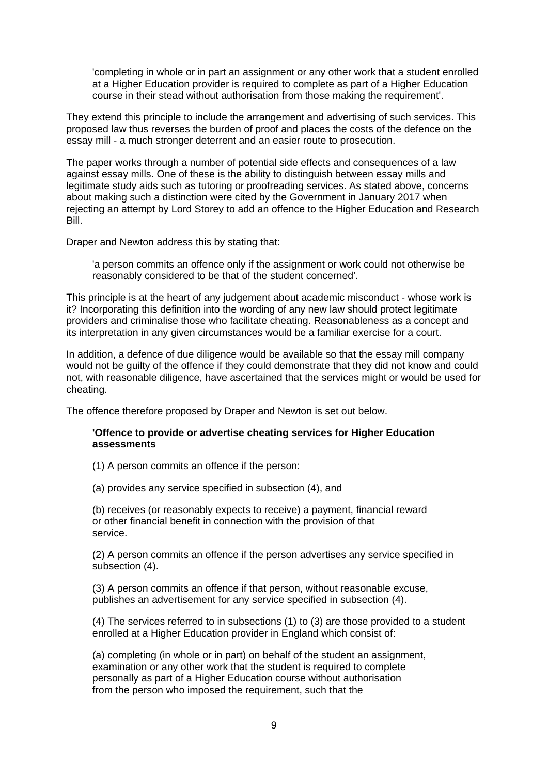'completing in whole or in part an assignment or any other work that a student enrolled at a Higher Education provider is required to complete as part of a Higher Education course in their stead without authorisation from those making the requirement'.

They extend this principle to include the arrangement and advertising of such services. This proposed law thus reverses the burden of proof and places the costs of the defence on the essay mill - a much stronger deterrent and an easier route to prosecution.

The paper works through a number of potential side effects and consequences of a law against essay mills. One of these is the ability to distinguish between essay mills and legitimate study aids such as tutoring or proofreading services. As stated above, concerns about making such a distinction were cited by the Government in January 2017 when rejecting an attempt by Lord Storey to add an offence to the Higher Education and Research Bill.

Draper and Newton address this by stating that:

'a person commits an offence only if the assignment or work could not otherwise be reasonably considered to be that of the student concerned'.

This principle is at the heart of any judgement about academic misconduct - whose work is it? Incorporating this definition into the wording of any new law should protect legitimate providers and criminalise those who facilitate cheating. Reasonableness as a concept and its interpretation in any given circumstances would be a familiar exercise for a court.

In addition, a defence of due diligence would be available so that the essay mill company would not be guilty of the offence if they could demonstrate that they did not know and could not, with reasonable diligence, have ascertained that the services might or would be used for cheating.

The offence therefore proposed by Draper and Newton is set out below.

#### **'Offence to provide or advertise cheating services for Higher Education assessments**

(1) A person commits an offence if the person:

(a) provides any service specified in subsection (4), and

(b) receives (or reasonably expects to receive) a payment, financial reward or other financial benefit in connection with the provision of that service.

(2) A person commits an offence if the person advertises any service specified in subsection (4).

(3) A person commits an offence if that person, without reasonable excuse, publishes an advertisement for any service specified in subsection (4).

(4) The services referred to in subsections (1) to (3) are those provided to a student enrolled at a Higher Education provider in England which consist of:

(a) completing (in whole or in part) on behalf of the student an assignment, examination or any other work that the student is required to complete personally as part of a Higher Education course without authorisation from the person who imposed the requirement, such that the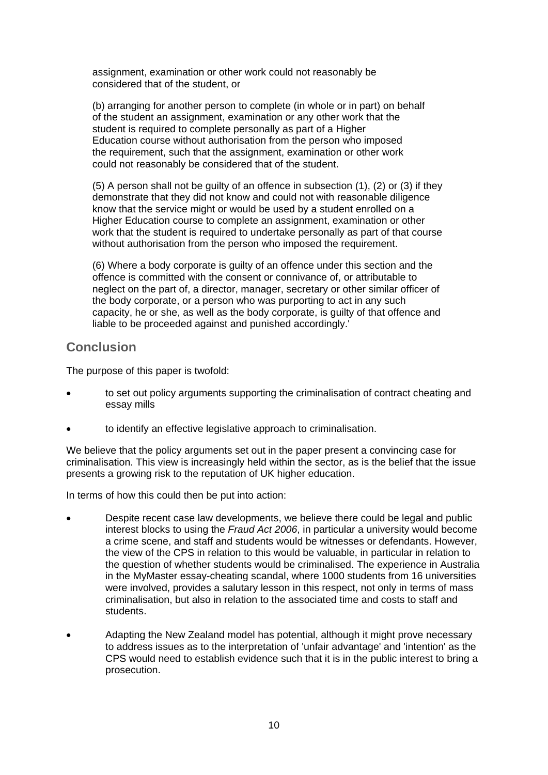assignment, examination or other work could not reasonably be considered that of the student, or

(b) arranging for another person to complete (in whole or in part) on behalf of the student an assignment, examination or any other work that the student is required to complete personally as part of a Higher Education course without authorisation from the person who imposed the requirement, such that the assignment, examination or other work could not reasonably be considered that of the student.

(5) A person shall not be guilty of an offence in subsection (1), (2) or (3) if they demonstrate that they did not know and could not with reasonable diligence know that the service might or would be used by a student enrolled on a Higher Education course to complete an assignment, examination or other work that the student is required to undertake personally as part of that course without authorisation from the person who imposed the requirement.

(6) Where a body corporate is guilty of an offence under this section and the offence is committed with the consent or connivance of, or attributable to neglect on the part of, a director, manager, secretary or other similar officer of the body corporate, or a person who was purporting to act in any such capacity, he or she, as well as the body corporate, is guilty of that offence and liable to be proceeded against and punished accordingly.'

# **Conclusion**

The purpose of this paper is twofold:

- to set out policy arguments supporting the criminalisation of contract cheating and essay mills
- to identify an effective legislative approach to criminalisation.

We believe that the policy arguments set out in the paper present a convincing case for criminalisation. This view is increasingly held within the sector, as is the belief that the issue presents a growing risk to the reputation of UK higher education.

In terms of how this could then be put into action:

- Despite recent case law developments, we believe there could be legal and public interest blocks to using the *Fraud Act 2006*, in particular a university would become a crime scene, and staff and students would be witnesses or defendants. However, the view of the CPS in relation to this would be valuable, in particular in relation to the question of whether students would be criminalised. The experience in Australia in the MyMaster essay-cheating scandal, where 1000 students from 16 universities were involved, provides a salutary lesson in this respect, not only in terms of mass criminalisation, but also in relation to the associated time and costs to staff and students.
- Adapting the New Zealand model has potential, although it might prove necessary to address issues as to the interpretation of 'unfair advantage' and 'intention' as the CPS would need to establish evidence such that it is in the public interest to bring a prosecution.